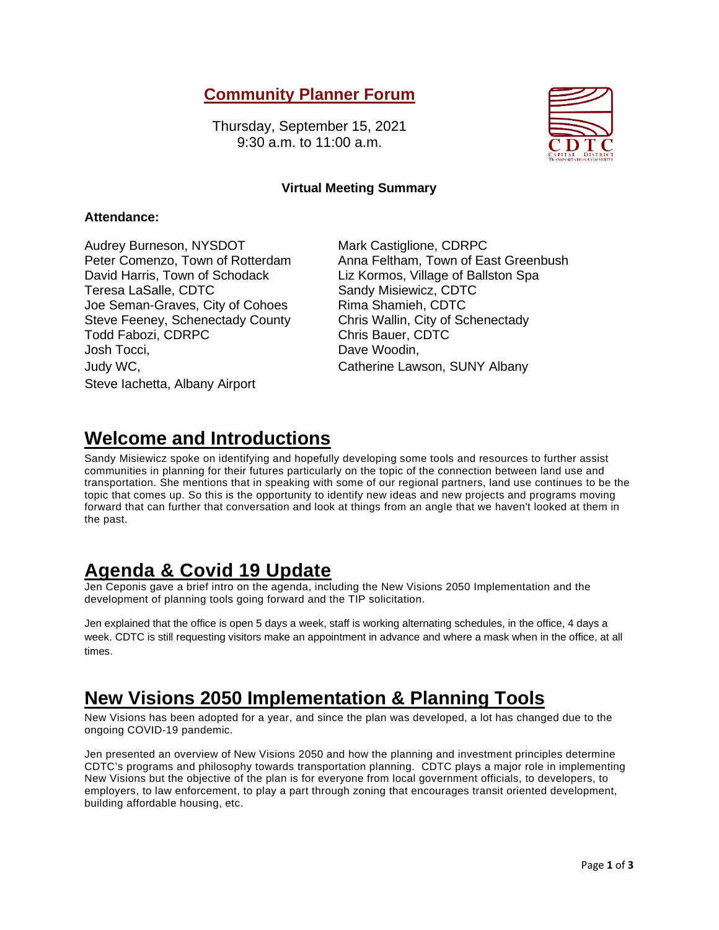### **Community Planner Forum**

Thursday, September 15, 2021 9:30 a.m. to 11:00 a.m.



### **Virtual Meeting Summary**

#### **Attendance:**

Audrey Burneson, NYSDOT Mark Castiglione, CDRPC David Harris, Town of Schodack Liz Kormos, Village of Ballston Spa Teresa LaSalle, CDTC Sandy Misiewicz, CDTC Joe Seman-Graves, City of Cohoes Rima Shamieh, CDTC Steve Feeney, Schenectady County Chris Wallin, City of Schenectady Todd Fabozi, CDRPC Chris Bauer, CDTC Josh Tocci, Dave Woodin, Judy WC, Catherine Lawson, SUNY Albany Steve Iachetta, Albany Airport

Peter Comenzo, Town of Rotterdam Anna Feltham, Town of East Greenbush

# **Welcome and Introductions**

Sandy Misiewicz spoke on identifying and hopefully developing some tools and resources to further assist communities in planning for their futures particularly on the topic of the connection between land use and transportation. She mentions that in speaking with some of our regional partners, land use continues to be the topic that comes up. So this is the opportunity to identify new ideas and new projects and programs moving forward that can further that conversation and look at things from an angle that we haven't looked at them in the past.

# **Agenda & Covid 19 Update**

Jen Ceponis gave a brief intro on the agenda, including the New Visions 2050 Implementation and the development of planning tools going forward and the TIP solicitation.

Jen explained that the office is open 5 days a week, staff is working alternating schedules, in the office, 4 days a week. CDTC is still requesting visitors make an appointment in advance and where a mask when in the office, at all times.

# **New Visions 2050 Implementation & Planning Tools**

New Visions has been adopted for a year, and since the plan was developed, a lot has changed due to the ongoing COVID-19 pandemic.

Jen presented an overview of New Visions 2050 and how the planning and investment principles determine CDTC's programs and philosophy towards transportation planning. CDTC plays a major role in implementing New Visions but the objective of the plan is for everyone from local government officials, to developers, to employers, to law enforcement, to play a part through zoning that encourages transit oriented development, building affordable housing, etc.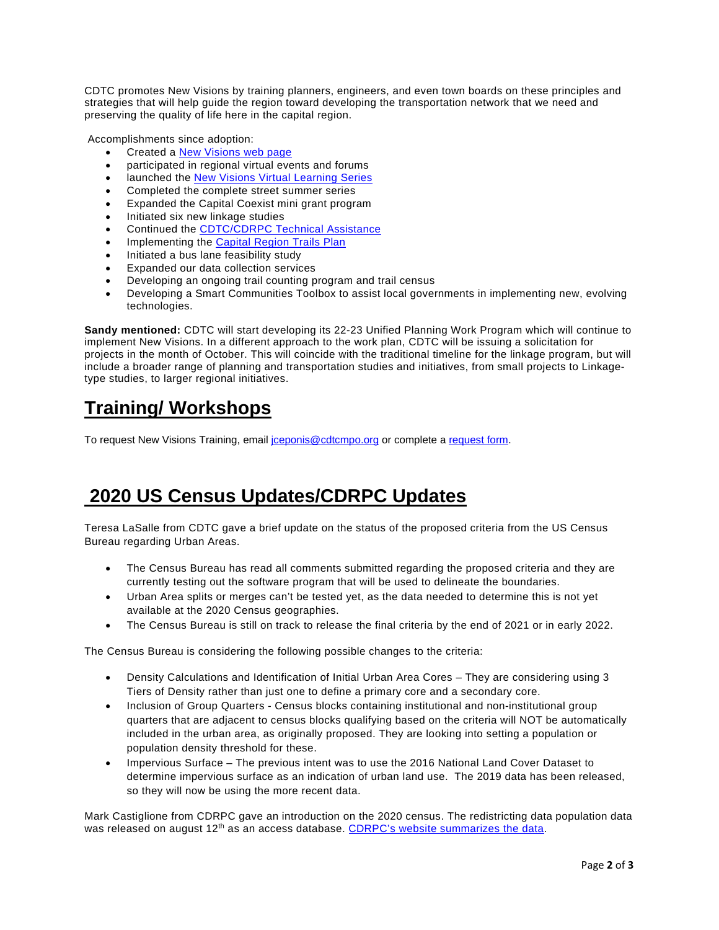CDTC promotes New Visions by training planners, engineers, and even town boards on these principles and strategies that will help guide the region toward developing the transportation network that we need and preserving the quality of life here in the capital region.

Accomplishments since adoption:

- Created a [New Visions web page](https://www.cdtcmpo.org/transportation-plans/nv2050)
- participated in regional virtual events and forums
- launched the [New Visions Virtual Learning Series](https://www.cdtcmpo.org/news/nv-webinars)
- Completed the complete street summer series
- Expanded the Capital Coexist mini grant program
- Initiated six new linkage studies
- Continued the CDTC/CDRPC [Technical Assistance](https://www.cdtcmpo.org/what-we-do/technical-assistance)
- Implementing the Capital Region Trails Plan
- Initiated a bus lane feasibility study
- Expanded our data collection services
- Developing an ongoing trail counting program and trail census
- Developing a Smart Communities Toolbox to assist local governments in implementing new, evolving technologies.

**Sandy mentioned:** CDTC will start developing its 22-23 Unified Planning Work Program which will continue to implement New Visions. In a different approach to the work plan, CDTC will be issuing a solicitation for projects in the month of October. This will coincide with the traditional timeline for the linkage program, but will include a broader range of planning and transportation studies and initiatives, from small projects to Linkagetype studies, to larger regional initiatives.

# **Training/ Workshops**

To request New Visions Training, email [jceponis@cdtcmpo.org](mailto:jceponis@cdtcmpo.org) or complete a [request form.](https://form.jotform.com/202385226381049)

## **2020 US Census Updates/CDRPC Updates**

Teresa LaSalle from CDTC gave a brief update on the status of the proposed criteria from the US Census Bureau regarding Urban Areas.

- The Census Bureau has read all comments submitted regarding the proposed criteria and they are currently testing out the software program that will be used to delineate the boundaries.
- Urban Area splits or merges can't be tested yet, as the data needed to determine this is not yet available at the 2020 Census geographies.
- The Census Bureau is still on track to release the final criteria by the end of 2021 or in early 2022.

The Census Bureau is considering the following possible changes to the criteria:

- Density Calculations and Identification of Initial Urban Area Cores They are considering using 3 Tiers of Density rather than just one to define a primary core and a secondary core.
- Inclusion of Group Quarters Census blocks containing institutional and non-institutional group quarters that are adjacent to census blocks qualifying based on the criteria will NOT be automatically included in the urban area, as originally proposed. They are looking into setting a population or population density threshold for these.
- Impervious Surface The previous intent was to use the 2016 National Land Cover Dataset to determine impervious surface as an indication of urban land use. The 2019 data has been released, so they will now be using the more recent data.

Mark Castiglione from CDRPC gave an introduction on the 2020 census. The redistricting data population data was released on august 12<sup>th</sup> as an access database. [CDRPC's website summarizes the data.](https://cdrpc.org/data/census)